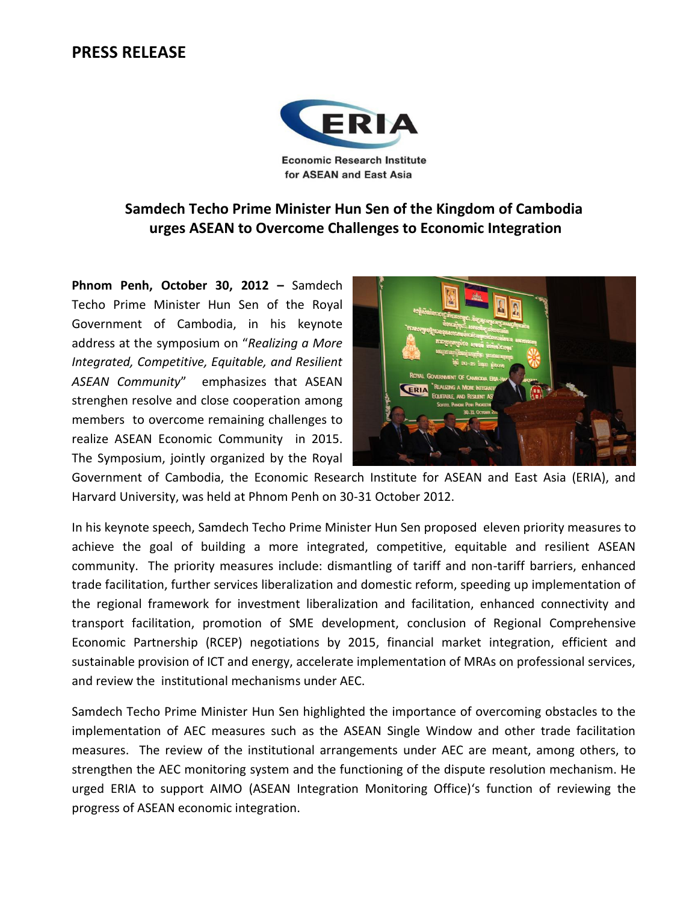## **PRESS RELEASE**



## **Samdech Techo Prime Minister Hun Sen of the Kingdom of Cambodia urges ASEAN to Overcome Challenges to Economic Integration**

**Phnom Penh, October 30, 2012 –** Samdech Techo Prime Minister Hun Sen of the Royal Government of Cambodia, in his keynote address at the symposium on "*Realizing a More Integrated, Competitive, Equitable, and Resilient ASEAN Community*" emphasizes that ASEAN strenghen resolve and close cooperation among members to overcome remaining challenges to realize ASEAN Economic Community in 2015. The Symposium, jointly organized by the Royal



Government of Cambodia, the Economic Research Institute for ASEAN and East Asia (ERIA), and Harvard University, was held at Phnom Penh on 30-31 October 2012.

In his keynote speech, Samdech Techo Prime Minister Hun Sen proposed eleven priority measures to achieve the goal of building a more integrated, competitive, equitable and resilient ASEAN community. The priority measures include: dismantling of tariff and non-tariff barriers, enhanced trade facilitation, further services liberalization and domestic reform, speeding up implementation of the regional framework for investment liberalization and facilitation, enhanced connectivity and transport facilitation, promotion of SME development, conclusion of Regional Comprehensive Economic Partnership (RCEP) negotiations by 2015, financial market integration, efficient and sustainable provision of ICT and energy, accelerate implementation of MRAs on professional services, and review the institutional mechanisms under AEC.

Samdech Techo Prime Minister Hun Sen highlighted the importance of overcoming obstacles to the implementation of AEC measures such as the ASEAN Single Window and other trade facilitation measures. The review of the institutional arrangements under AEC are meant, among others, to strengthen the AEC monitoring system and the functioning of the dispute resolution mechanism. He urged ERIA to support AIMO (ASEAN Integration Monitoring Office)'s function of reviewing the progress of ASEAN economic integration.